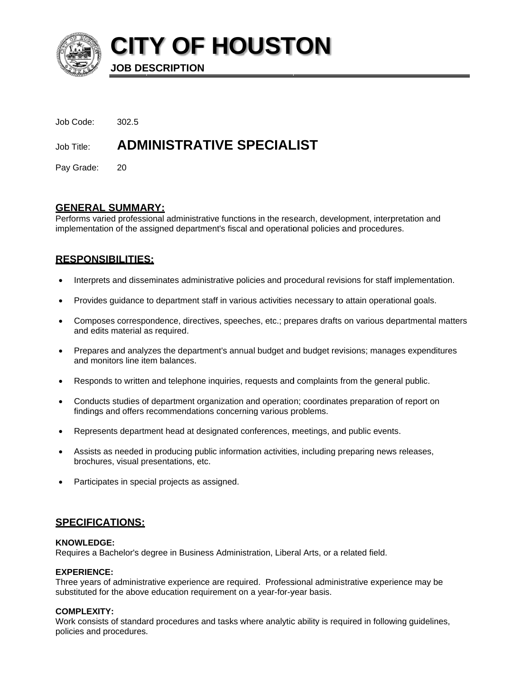

**CITY OF HOUSTON** 

**JOB DESCRIPTION** 

- Job Code: 302.5 **ADMINISTRATIVE SPECIALIST** Job Title:
- Pay Grade: 20

# **GENERAL SUMMARY:**

Performs varied professional administrative functions in the research, development, interpretation and implementation of the assigned department's fiscal and operational policies and procedures.

# **RESPONSIBILITIES:**

- Interprets and disseminates administrative policies and procedural revisions for staff implementation.
- Provides guidance to department staff in various activities necessary to attain operational goals.
- Composes correspondence, directives, speeches, etc.; prepares drafts on various departmental matters and edits material as required.
- Prepares and analyzes the department's annual budget and budget revisions; manages expenditures and monitors line item balances.
- Responds to written and telephone inquiries, requests and complaints from the general public.
- Conducts studies of department organization and operation; coordinates preparation of report on  $\bullet$ findings and offers recommendations concerning various problems.
- Represents department head at designated conferences, meetings, and public events.
- Assists as needed in producing public information activities, including preparing news releases, brochures, visual presentations, etc.
- Participates in special projects as assigned.

# **SPECIFICATIONS:**

#### **KNOWLEDGE:**

Requires a Bachelor's degree in Business Administration, Liberal Arts, or a related field.

#### **EXPERIENCE:**

Three years of administrative experience are required. Professional administrative experience may be substituted for the above education requirement on a year-for-year basis.

### **COMPLEXITY:**

Work consists of standard procedures and tasks where analytic ability is required in following guidelines, policies and procedures.